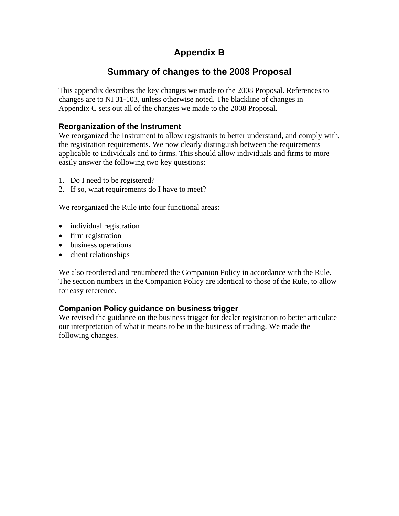# **Appendix B**

# **Summary of changes to the 2008 Proposal**

This appendix describes the key changes we made to the 2008 Proposal. References to changes are to NI 31-103, unless otherwise noted. The blackline of changes in Appendix C sets out all of the changes we made to the 2008 Proposal.

# **Reorganization of the Instrument**

We reorganized the Instrument to allow registrants to better understand, and comply with, the registration requirements. We now clearly distinguish between the requirements applicable to individuals and to firms. This should allow individuals and firms to more easily answer the following two key questions:

- 1. Do I need to be registered?
- 2. If so, what requirements do I have to meet?

We reorganized the Rule into four functional areas:

- individual registration
- firm registration
- business operations
- client relationships

We also reordered and renumbered the Companion Policy in accordance with the Rule. The section numbers in the Companion Policy are identical to those of the Rule, to allow for easy reference.

# **Companion Policy guidance on business trigger**

We revised the guidance on the business trigger for dealer registration to better articulate our interpretation of what it means to be in the business of trading. We made the following changes.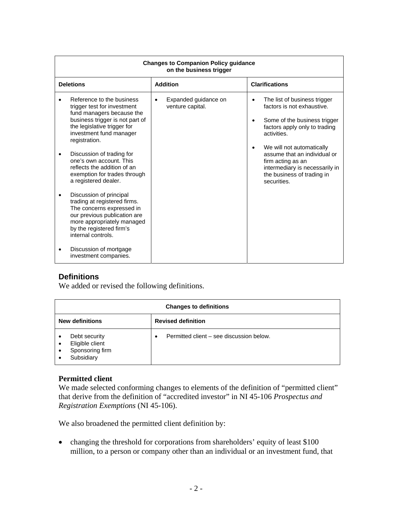| <b>Changes to Companion Policy quidance</b><br>on the business trigger                                                                                                                                                                                                                                                                                                                                                                                                                                                                                     |                                                       |                                                                                                                                                                                                                                                                                                                                    |  |  |  |
|------------------------------------------------------------------------------------------------------------------------------------------------------------------------------------------------------------------------------------------------------------------------------------------------------------------------------------------------------------------------------------------------------------------------------------------------------------------------------------------------------------------------------------------------------------|-------------------------------------------------------|------------------------------------------------------------------------------------------------------------------------------------------------------------------------------------------------------------------------------------------------------------------------------------------------------------------------------------|--|--|--|
| <b>Deletions</b>                                                                                                                                                                                                                                                                                                                                                                                                                                                                                                                                           | <b>Addition</b>                                       | <b>Clarifications</b>                                                                                                                                                                                                                                                                                                              |  |  |  |
| Reference to the business<br>trigger test for investment<br>fund managers because the<br>business trigger is not part of<br>the legislative trigger for<br>investment fund manager<br>registration.<br>Discussion of trading for<br>one's own account. This<br>reflects the addition of an<br>exemption for trades through<br>a registered dealer.<br>Discussion of principal<br>trading at registered firms.<br>The concerns expressed in<br>our previous publication are<br>more appropriately managed<br>by the registered firm's<br>internal controls. | Expanded guidance on<br>$\bullet$<br>venture capital. | The list of business trigger<br>٠<br>factors is not exhaustive.<br>Some of the business trigger<br>$\bullet$<br>factors apply only to trading<br>activities.<br>We will not automatically<br>٠<br>assume that an individual or<br>firm acting as an<br>intermediary is necessarily in<br>the business of trading in<br>securities. |  |  |  |
| Discussion of mortgage<br>investment companies.                                                                                                                                                                                                                                                                                                                                                                                                                                                                                                            |                                                       |                                                                                                                                                                                                                                                                                                                                    |  |  |  |

# **Definitions**

We added or revised the following definitions.

| <b>Changes to definitions</b>                                     |                                               |  |  |
|-------------------------------------------------------------------|-----------------------------------------------|--|--|
| <b>New definitions</b>                                            | <b>Revised definition</b>                     |  |  |
| Debt security<br>Eligible client<br>Sponsoring firm<br>Subsidiary | Permitted client – see discussion below.<br>٠ |  |  |

# **Permitted client**

We made selected conforming changes to elements of the definition of "permitted client" that derive from the definition of "accredited investor" in NI 45-106 *Prospectus and Registration Exemptions* (NI 45-106).

We also broadened the permitted client definition by:

• changing the threshold for corporations from shareholders' equity of least \$100 million, to a person or company other than an individual or an investment fund, that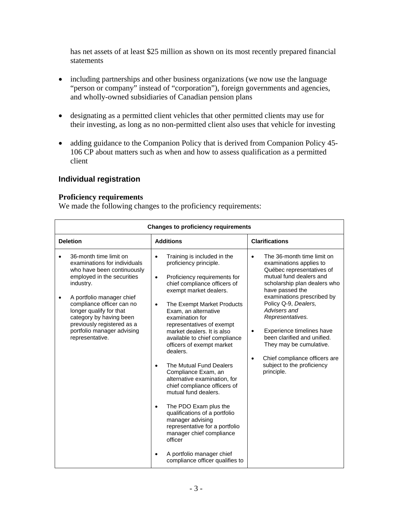has net assets of at least \$25 million as shown on its most recently prepared financial statements

- including partnerships and other business organizations (we now use the language "person or company" instead of "corporation"), foreign governments and agencies, and wholly-owned subsidiaries of Canadian pension plans
- designating as a permitted client vehicles that other permitted clients may use for their investing, as long as no non-permitted client also uses that vehicle for investing
- adding guidance to the Companion Policy that is derived from Companion Policy 45- 106 CP about matters such as when and how to assess qualification as a permitted client

# **Individual registration**

## **Proficiency requirements**

We made the following changes to the proficiency requirements:

| <b>Changes to proficiency requirements</b>                                                                                                                                                                                                                                                                                                  |                                                                                                                                                                                                                                                                                                                                                                                                                                                                                                                                                                                                                                                                                                                                                                                                              |                                                                                                                                                                                                                                                                                                                                                                                                                                                                       |  |  |  |
|---------------------------------------------------------------------------------------------------------------------------------------------------------------------------------------------------------------------------------------------------------------------------------------------------------------------------------------------|--------------------------------------------------------------------------------------------------------------------------------------------------------------------------------------------------------------------------------------------------------------------------------------------------------------------------------------------------------------------------------------------------------------------------------------------------------------------------------------------------------------------------------------------------------------------------------------------------------------------------------------------------------------------------------------------------------------------------------------------------------------------------------------------------------------|-----------------------------------------------------------------------------------------------------------------------------------------------------------------------------------------------------------------------------------------------------------------------------------------------------------------------------------------------------------------------------------------------------------------------------------------------------------------------|--|--|--|
| <b>Deletion</b>                                                                                                                                                                                                                                                                                                                             | <b>Additions</b>                                                                                                                                                                                                                                                                                                                                                                                                                                                                                                                                                                                                                                                                                                                                                                                             | <b>Clarifications</b>                                                                                                                                                                                                                                                                                                                                                                                                                                                 |  |  |  |
| 36-month time limit on<br>$\bullet$<br>examinations for individuals<br>who have been continuously<br>employed in the securities<br>industry.<br>A portfolio manager chief<br>compliance officer can no<br>longer qualify for that<br>category by having been<br>previously registered as a<br>portfolio manager advising<br>representative. | Training is included in the<br>$\bullet$<br>proficiency principle.<br>Proficiency requirements for<br>$\bullet$<br>chief compliance officers of<br>exempt market dealers.<br>The Exempt Market Products<br>$\bullet$<br>Exam, an alternative<br>examination for<br>representatives of exempt<br>market dealers. It is also<br>available to chief compliance<br>officers of exempt market<br>dealers.<br>The Mutual Fund Dealers<br>$\bullet$<br>Compliance Exam, an<br>alternative examination, for<br>chief compliance officers of<br>mutual fund dealers.<br>The PDO Exam plus the<br>$\bullet$<br>qualifications of a portfolio<br>manager advising<br>representative for a portfolio<br>manager chief compliance<br>officer<br>A portfolio manager chief<br>$\bullet$<br>compliance officer qualifies to | The 36-month time limit on<br>$\bullet$<br>examinations applies to<br>Québec representatives of<br>mutual fund dealers and<br>scholarship plan dealers who<br>have passed the<br>examinations prescribed by<br>Policy Q-9, Dealers,<br>Advisers and<br>Representatives.<br>Experience timelines have<br>$\bullet$<br>been clarified and unified.<br>They may be cumulative.<br>Chief compliance officers are<br>$\bullet$<br>subject to the proficiency<br>principle. |  |  |  |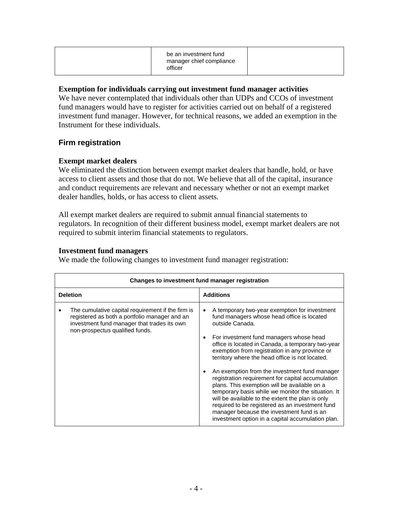|--|

## **Exemption for individuals carrying out investment fund manager activities**

We have never contemplated that individuals other than UDPs and CCOs of investment fund managers would have to register for activities carried out on behalf of a registered investment fund manager. However, for technical reasons, we added an exemption in the Instrument for these individuals.

# **Firm registration**

# **Exempt market dealers**

We eliminated the distinction between exempt market dealers that handle, hold, or have access to client assets and those that do not. We believe that all of the capital, insurance and conduct requirements are relevant and necessary whether or not an exempt market dealer handles, holds, or has access to client assets.

All exempt market dealers are required to submit annual financial statements to regulators. In recognition of their different business model, exempt market dealers are not required to submit interim financial statements to regulators.

## **Investment fund managers**

We made the following changes to investment fund manager registration:

| Changes to investment fund manager registration                                                                                                                                      |                                                                                                                                                                                                                                                                                                                                                                                                                                                                                                                                                                                                                                                                                                                                          |  |  |  |
|--------------------------------------------------------------------------------------------------------------------------------------------------------------------------------------|------------------------------------------------------------------------------------------------------------------------------------------------------------------------------------------------------------------------------------------------------------------------------------------------------------------------------------------------------------------------------------------------------------------------------------------------------------------------------------------------------------------------------------------------------------------------------------------------------------------------------------------------------------------------------------------------------------------------------------------|--|--|--|
| <b>Deletion</b>                                                                                                                                                                      | <b>Additions</b>                                                                                                                                                                                                                                                                                                                                                                                                                                                                                                                                                                                                                                                                                                                         |  |  |  |
| The cumulative capital requirement if the firm is<br>registered as both a portfolio manager and an<br>investment fund manager that trades its own<br>non-prospectus qualified funds. | A temporary two-year exemption for investment<br>fund managers whose head office is located<br>outside Canada.<br>For investment fund managers whose head<br>office is located in Canada, a temporary two-year<br>exemption from registration in any province or<br>territory where the head office is not located.<br>An exemption from the investment fund manager<br>registration requirement for capital accumulation<br>plans. This exemption will be available on a<br>temporary basis while we monitor the situation. It<br>will be available to the extent the plan is only<br>required to be registered as an investment fund<br>manager because the investment fund is an<br>investment option in a capital accumulation plan. |  |  |  |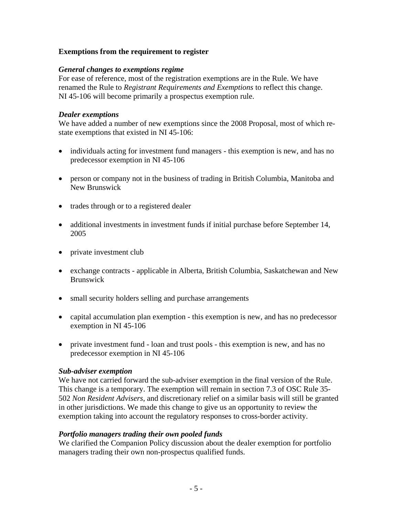# **Exemptions from the requirement to register**

# *General changes to exemptions regime*

For ease of reference, most of the registration exemptions are in the Rule. We have renamed the Rule to *Registrant Requirements and Exemptions* to reflect this change. NI 45-106 will become primarily a prospectus exemption rule.

# *Dealer exemptions*

We have added a number of new exemptions since the 2008 Proposal, most of which restate exemptions that existed in NI 45-106:

- individuals acting for investment fund managers this exemption is new, and has no predecessor exemption in NI 45-106
- person or company not in the business of trading in British Columbia, Manitoba and New Brunswick
- trades through or to a registered dealer
- additional investments in investment funds if initial purchase before September 14, 2005
- private investment club
- exchange contracts applicable in Alberta, British Columbia, Saskatchewan and New Brunswick
- small security holders selling and purchase arrangements
- capital accumulation plan exemption this exemption is new, and has no predecessor exemption in NI 45-106
- private investment fund loan and trust pools this exemption is new, and has no predecessor exemption in NI 45-106

# *Sub-adviser exemption*

We have not carried forward the sub-adviser exemption in the final version of the Rule. This change is a temporary. The exemption will remain in section 7.3 of OSC Rule 35- 502 *Non Resident Advisers*, and discretionary relief on a similar basis will still be granted in other jurisdictions. We made this change to give us an opportunity to review the exemption taking into account the regulatory responses to cross-border activity.

# *Portfolio managers trading their own pooled funds*

We clarified the Companion Policy discussion about the dealer exemption for portfolio managers trading their own non-prospectus qualified funds.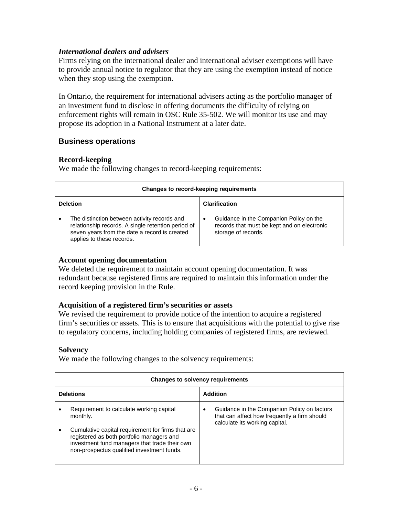## *International dealers and advisers*

Firms relying on the international dealer and international adviser exemptions will have to provide annual notice to regulator that they are using the exemption instead of notice when they stop using the exemption.

In Ontario, the requirement for international advisers acting as the portfolio manager of an investment fund to disclose in offering documents the difficulty of relying on enforcement rights will remain in OSC Rule 35-502. We will monitor its use and may propose its adoption in a National Instrument at a later date.

# **Business operations**

## **Record-keeping**

We made the following changes to record-keeping requirements:

|                 | Changes to record-keeping requirements                                                                                                                                           |                      |                                                                                                               |  |  |
|-----------------|----------------------------------------------------------------------------------------------------------------------------------------------------------------------------------|----------------------|---------------------------------------------------------------------------------------------------------------|--|--|
| <b>Deletion</b> |                                                                                                                                                                                  | <b>Clarification</b> |                                                                                                               |  |  |
|                 | The distinction between activity records and<br>relationship records. A single retention period of<br>seven years from the date a record is created<br>applies to these records. |                      | Guidance in the Companion Policy on the<br>records that must be kept and on electronic<br>storage of records. |  |  |

## **Account opening documentation**

We deleted the requirement to maintain account opening documentation. It was redundant because registered firms are required to maintain this information under the record keeping provision in the Rule.

#### **Acquisition of a registered firm's securities or assets**

We revised the requirement to provide notice of the intention to acquire a registered firm's securities or assets. This is to ensure that acquisitions with the potential to give rise to regulatory concerns, including holding companies of registered firms, are reviewed.

# **Solvency**

We made the following changes to the solvency requirements:

|                  | <b>Changes to solvency requirements</b>                                                                                                                                                       |                                                                                                                                    |  |  |  |
|------------------|-----------------------------------------------------------------------------------------------------------------------------------------------------------------------------------------------|------------------------------------------------------------------------------------------------------------------------------------|--|--|--|
| <b>Deletions</b> |                                                                                                                                                                                               | <b>Addition</b>                                                                                                                    |  |  |  |
|                  | Requirement to calculate working capital<br>monthly.                                                                                                                                          | Guidance in the Companion Policy on factors<br>٠<br>that can affect how frequently a firm should<br>calculate its working capital. |  |  |  |
|                  | Cumulative capital requirement for firms that are<br>registered as both portfolio managers and<br>investment fund managers that trade their own<br>non-prospectus qualified investment funds. |                                                                                                                                    |  |  |  |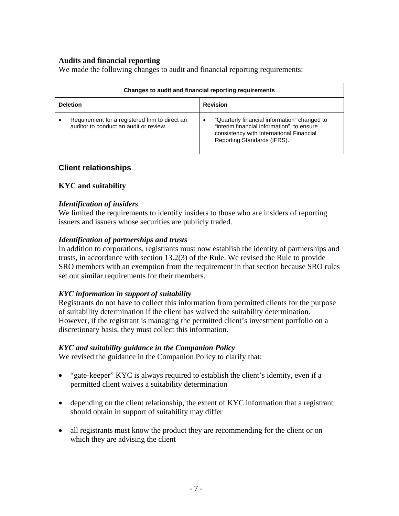# **Audits and financial reporting**

We made the following changes to audit and financial reporting requirements:

| Changes to audit and financial reporting requirements                                    |                                                                                                                                                                       |  |  |
|------------------------------------------------------------------------------------------|-----------------------------------------------------------------------------------------------------------------------------------------------------------------------|--|--|
| <b>Deletion</b>                                                                          | <b>Revision</b>                                                                                                                                                       |  |  |
| Requirement for a registered firm to direct an<br>auditor to conduct an audit or review. | "Quarterly financial information" changed to<br>"interim financial information", to ensure<br>consistency with International Financial<br>Reporting Standards (IFRS). |  |  |

# **Client relationships**

# **KYC and suitability**

## *Identification of insiders*

We limited the requirements to identify insiders to those who are insiders of reporting issuers and issuers whose securities are publicly traded.

## *Identification of partnerships and trusts*

In addition to corporations, registrants must now establish the identity of partnerships and trusts, in accordance with section 13.2(3) of the Rule. We revised the Rule to provide SRO members with an exemption from the requirement in that section because SRO rules set out similar requirements for their members.

# *KYC information in support of suitability*

Registrants do not have to collect this information from permitted clients for the purpose of suitability determination if the client has waived the suitability determination. However, if the registrant is managing the permitted client's investment portfolio on a discretionary basis, they must collect this information.

#### *KYC and suitability guidance in the Companion Policy*

We revised the guidance in the Companion Policy to clarify that:

- "gate-keeper" KYC is always required to establish the client's identity, even if a permitted client waives a suitability determination
- depending on the client relationship, the extent of KYC information that a registrant should obtain in support of suitability may differ
- all registrants must know the product they are recommending for the client or on which they are advising the client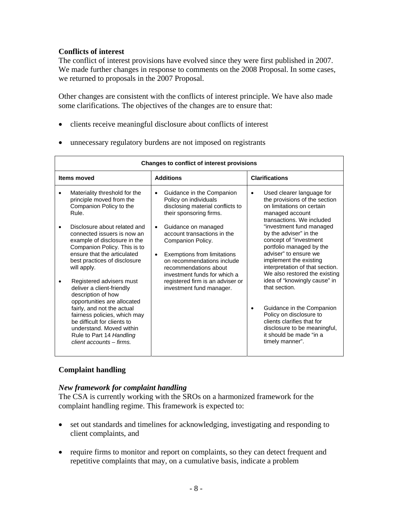# **Conflicts of interest**

The conflict of interest provisions have evolved since they were first published in 2007. We made further changes in response to comments on the 2008 Proposal. In some cases, we returned to proposals in the 2007 Proposal.

Other changes are consistent with the conflicts of interest principle. We have also made some clarifications. The objectives of the changes are to ensure that:

- clients receive meaningful disclosure about conflicts of interest
- unnecessary regulatory burdens are not imposed on registrants

| <b>Changes to conflict of interest provisions</b>                                                                                                                                                                                                                                                                                                                                                                                                                                                        |                                                                                                                                                                                                                                                                                                                                                                                                                           |                                                                                                                                                                                                                                                                                                                                                                                                                                                                                                  |  |  |  |
|----------------------------------------------------------------------------------------------------------------------------------------------------------------------------------------------------------------------------------------------------------------------------------------------------------------------------------------------------------------------------------------------------------------------------------------------------------------------------------------------------------|---------------------------------------------------------------------------------------------------------------------------------------------------------------------------------------------------------------------------------------------------------------------------------------------------------------------------------------------------------------------------------------------------------------------------|--------------------------------------------------------------------------------------------------------------------------------------------------------------------------------------------------------------------------------------------------------------------------------------------------------------------------------------------------------------------------------------------------------------------------------------------------------------------------------------------------|--|--|--|
| Items moved                                                                                                                                                                                                                                                                                                                                                                                                                                                                                              | <b>Additions</b>                                                                                                                                                                                                                                                                                                                                                                                                          | <b>Clarifications</b>                                                                                                                                                                                                                                                                                                                                                                                                                                                                            |  |  |  |
| Materiality threshold for the<br>$\bullet$<br>principle moved from the<br>Companion Policy to the<br>Rule.<br>Disclosure about related and<br>٠<br>connected issuers is now an<br>example of disclosure in the<br>Companion Policy. This is to<br>ensure that the articulated<br>best practices of disclosure<br>will apply.<br>Registered advisers must<br>deliver a client-friendly<br>description of how<br>opportunities are allocated<br>fairly, and not the actual<br>fairness policies, which may | Guidance in the Companion<br>$\bullet$<br>Policy on individuals<br>disclosing material conflicts to<br>their sponsoring firms.<br>Guidance on managed<br>$\bullet$<br>account transactions in the<br>Companion Policy.<br>Exemptions from limitations<br>$\bullet$<br>on recommendations include<br>recommendations about<br>investment funds for which a<br>registered firm is an adviser or<br>investment fund manager. | Used clearer language for<br>$\bullet$<br>the provisions of the section<br>on limitations on certain<br>managed account<br>transactions. We included<br>"investment fund managed<br>by the adviser" in the<br>concept of "investment<br>portfolio managed by the<br>adviser" to ensure we<br>implement the existing<br>interpretation of that section.<br>We also restored the existing<br>idea of "knowingly cause" in<br>that section.<br>Guidance in the Companion<br>Policy on disclosure to |  |  |  |
| be difficult for clients to<br>understand. Moved within<br>Rule to Part 14 Handling<br>client accounts – firms.                                                                                                                                                                                                                                                                                                                                                                                          |                                                                                                                                                                                                                                                                                                                                                                                                                           | clients clarifies that for<br>disclosure to be meaningful,<br>it should be made "in a<br>timely manner".                                                                                                                                                                                                                                                                                                                                                                                         |  |  |  |

# **Complaint handling**

# *New framework for complaint handling*

The CSA is currently working with the SROs on a harmonized framework for the complaint handling regime. This framework is expected to:

- set out standards and timelines for acknowledging, investigating and responding to client complaints, and
- require firms to monitor and report on complaints, so they can detect frequent and repetitive complaints that may, on a cumulative basis, indicate a problem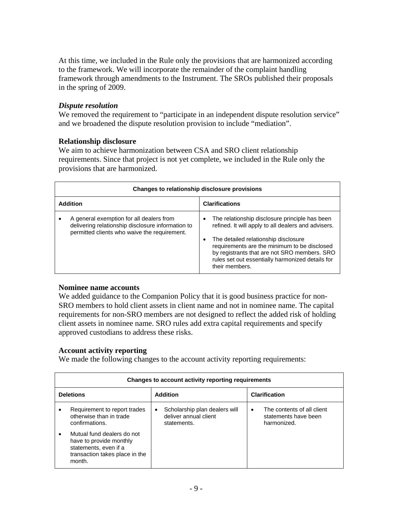At this time, we included in the Rule only the provisions that are harmonized according to the framework. We will incorporate the remainder of the complaint handling framework through amendments to the Instrument. The SROs published their proposals in the spring of 2009.

## *Dispute resolution*

We removed the requirement to "participate in an independent dispute resolution service" and we broadened the dispute resolution provision to include "mediation".

## **Relationship disclosure**

We aim to achieve harmonization between CSA and SRO client relationship requirements. Since that project is not yet complete, we included in the Rule only the provisions that are harmonized.

|                 | Changes to relationship disclosure provisions                                                                                                 |                                                                                                                                                                                                                                                                                                                                       |  |  |
|-----------------|-----------------------------------------------------------------------------------------------------------------------------------------------|---------------------------------------------------------------------------------------------------------------------------------------------------------------------------------------------------------------------------------------------------------------------------------------------------------------------------------------|--|--|
| <b>Addition</b> |                                                                                                                                               | <b>Clarifications</b>                                                                                                                                                                                                                                                                                                                 |  |  |
|                 | A general exemption for all dealers from<br>delivering relationship disclosure information to<br>permitted clients who waive the requirement. | The relationship disclosure principle has been<br>$\bullet$<br>refined. It will apply to all dealers and advisers.<br>The detailed relationship disclosure<br>٠<br>requirements are the minimum to be disclosed<br>by registrants that are not SRO members. SRO<br>rules set out essentially harmonized details for<br>their members. |  |  |

#### **Nominee name accounts**

We added guidance to the Companion Policy that it is good business practice for non-SRO members to hold client assets in client name and not in nominee name. The capital requirements for non-SRO members are not designed to reflect the added risk of holding client assets in nominee name. SRO rules add extra capital requirements and specify approved custodians to address these risks.

#### **Account activity reporting**

We made the following changes to the account activity reporting requirements:

|                  | Changes to account activity reporting requirements                                                                         |           |                                                                       |           |                                                                   |  |
|------------------|----------------------------------------------------------------------------------------------------------------------------|-----------|-----------------------------------------------------------------------|-----------|-------------------------------------------------------------------|--|
| <b>Deletions</b> |                                                                                                                            |           | <b>Addition</b>                                                       |           | <b>Clarification</b>                                              |  |
| ٠                | Requirement to report trades<br>otherwise than in trade<br>confirmations.                                                  | $\bullet$ | Scholarship plan dealers will<br>deliver annual client<br>statements. | $\bullet$ | The contents of all client<br>statements have been<br>harmonized. |  |
| ٠                | Mutual fund dealers do not<br>have to provide monthly<br>statements, even if a<br>transaction takes place in the<br>month. |           |                                                                       |           |                                                                   |  |